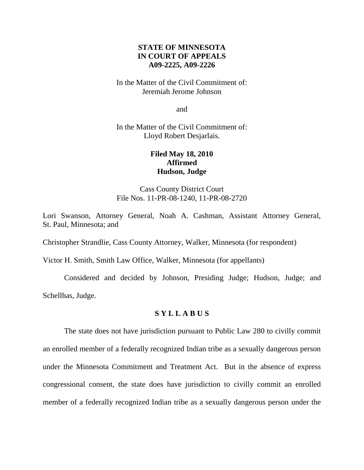# **STATE OF MINNESOTA IN COURT OF APPEALS A09-2225, A09-2226**

## In the Matter of the Civil Commitment of: Jeremiah Jerome Johnson

and

In the Matter of the Civil Commitment of: Lloyd Robert Desjarlais.

# **Filed May 18, 2010 Affirmed Hudson, Judge**

Cass County District Court File Nos. 11-PR-08-1240, 11-PR-08-2720

Lori Swanson, Attorney General, Noah A. Cashman, Assistant Attorney General, St. Paul, Minnesota; and

Christopher Strandlie, Cass County Attorney, Walker, Minnesota (for respondent)

Victor H. Smith, Smith Law Office, Walker, Minnesota (for appellants)

Considered and decided by Johnson, Presiding Judge; Hudson, Judge; and Schellhas, Judge.

# **S Y L L A B U S**

The state does not have jurisdiction pursuant to Public Law 280 to civilly commit an enrolled member of a federally recognized Indian tribe as a sexually dangerous person under the Minnesota Commitment and Treatment Act. But in the absence of express congressional consent, the state does have jurisdiction to civilly commit an enrolled member of a federally recognized Indian tribe as a sexually dangerous person under the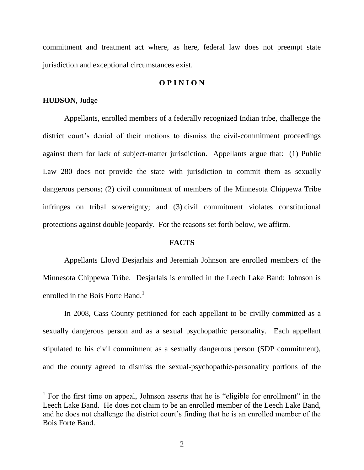commitment and treatment act where, as here, federal law does not preempt state jurisdiction and exceptional circumstances exist.

## **O P I N I O N**

#### **HUDSON**, Judge

Appellants, enrolled members of a federally recognized Indian tribe, challenge the district court's denial of their motions to dismiss the civil-commitment proceedings against them for lack of subject-matter jurisdiction. Appellants argue that: (1) Public Law 280 does not provide the state with jurisdiction to commit them as sexually dangerous persons; (2) civil commitment of members of the Minnesota Chippewa Tribe infringes on tribal sovereignty; and (3) civil commitment violates constitutional protections against double jeopardy. For the reasons set forth below, we affirm.

## **FACTS**

Appellants Lloyd Desjarlais and Jeremiah Johnson are enrolled members of the Minnesota Chippewa Tribe. Desjarlais is enrolled in the Leech Lake Band; Johnson is enrolled in the Bois Forte Band.<sup>1</sup>

In 2008, Cass County petitioned for each appellant to be civilly committed as a sexually dangerous person and as a sexual psychopathic personality. Each appellant stipulated to his civil commitment as a sexually dangerous person (SDP commitment), and the county agreed to dismiss the sexual-psychopathic-personality portions of the

<sup>&</sup>lt;sup>1</sup> For the first time on appeal, Johnson asserts that he is "eligible for enrollment" in the Leech Lake Band. He does not claim to be an enrolled member of the Leech Lake Band, and he does not challenge the district court's finding that he is an enrolled member of the Bois Forte Band.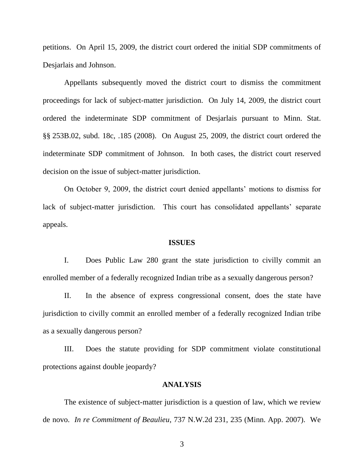petitions. On April 15, 2009, the district court ordered the initial SDP commitments of Desjarlais and Johnson.

Appellants subsequently moved the district court to dismiss the commitment proceedings for lack of subject-matter jurisdiction. On July 14, 2009, the district court ordered the indeterminate SDP commitment of Desjarlais pursuant to Minn. Stat. §§ 253B.02, subd. 18c, .185 (2008). On August 25, 2009, the district court ordered the indeterminate SDP commitment of Johnson. In both cases, the district court reserved decision on the issue of subject-matter jurisdiction.

On October 9, 2009, the district court denied appellants' motions to dismiss for lack of subject-matter jurisdiction. This court has consolidated appellants' separate appeals.

#### **ISSUES**

I. Does Public Law 280 grant the state jurisdiction to civilly commit an enrolled member of a federally recognized Indian tribe as a sexually dangerous person?

II. In the absence of express congressional consent, does the state have jurisdiction to civilly commit an enrolled member of a federally recognized Indian tribe as a sexually dangerous person?

III. Does the statute providing for SDP commitment violate constitutional protections against double jeopardy?

#### **ANALYSIS**

The existence of subject-matter jurisdiction is a question of law, which we review de novo. *In re Commitment of Beaulieu*, 737 N.W.2d 231, 235 (Minn. App. 2007). We

3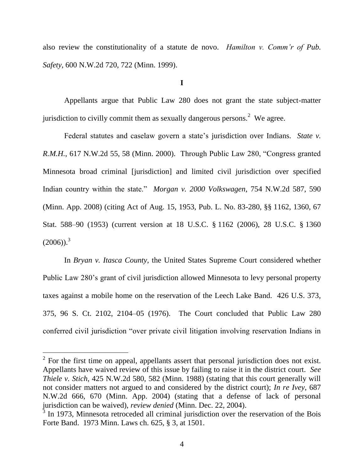also review the constitutionality of a statute de novo. *Hamilton v. Comm'r of Pub. Safety*, 600 N.W.2d 720, 722 (Minn. 1999).

**I**

Appellants argue that Public Law 280 does not grant the state subject-matter jurisdiction to civilly commit them as sexually dangerous persons.<sup>2</sup> We agree.

Federal statutes and caselaw govern a state's jurisdiction over Indians. *State v. R.M.H.*, 617 N.W.2d 55, 58 (Minn. 2000). Through Public Law 280, "Congress granted Minnesota broad criminal [jurisdiction] and limited civil jurisdiction over specified Indian country within the state." *Morgan v. 2000 Volkswagen*, 754 N.W.2d 587, 590 (Minn. App. 2008) (citing Act of Aug. 15, 1953, Pub. L. No. 83-280, §§ 1162, 1360, 67 Stat. 588–90 (1953) (current version at 18 U.S.C. § 1162 (2006), 28 U.S.C. § 1360  $(2006)$ <sup>3</sup>

In *Bryan v. Itasca County*, the United States Supreme Court considered whether Public Law 280's grant of civil jurisdiction allowed Minnesota to levy personal property taxes against a mobile home on the reservation of the Leech Lake Band. 426 U.S. 373, 375, 96 S. Ct. 2102, 2104–05 (1976). The Court concluded that Public Law 280 conferred civil jurisdiction "over private civil litigation involving reservation Indians in

 $\overline{a}$ 

 $2^2$  For the first time on appeal, appellants assert that personal jurisdiction does not exist. Appellants have waived review of this issue by failing to raise it in the district court. *See Thiele v. Stich*, 425 N.W.2d 580, 582 (Minn. 1988) (stating that this court generally will not consider matters not argued to and considered by the district court); *In re Ivey*, 687 N.W.2d 666, 670 (Minn. App. 2004) (stating that a defense of lack of personal jurisdiction can be waived), *review denied* (Minn. Dec. 22, 2004).

 $3$  In 1973, Minnesota retroceded all criminal jurisdiction over the reservation of the Bois Forte Band. 1973 Minn. Laws ch. 625, § 3, at 1501.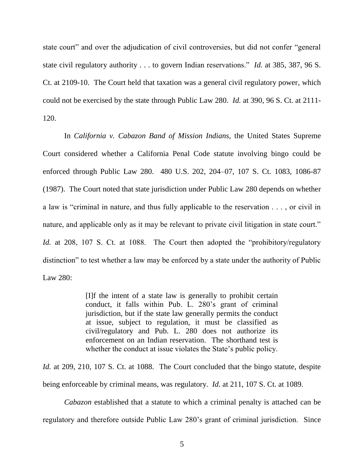state court" and over the adjudication of civil controversies, but did not confer "general state civil regulatory authority . . . to govern Indian reservations." *Id.* at 385, 387, 96 S. Ct. at 2109-10. The Court held that taxation was a general civil regulatory power, which could not be exercised by the state through Public Law 280. *Id.* at 390, 96 S. Ct. at 2111- 120.

In *California v. Cabazon Band of Mission Indians*, the United States Supreme Court considered whether a California Penal Code statute involving bingo could be enforced through Public Law 280. 480 U.S. 202, 204–07, 107 S. Ct. 1083, 1086-87 (1987). The Court noted that state jurisdiction under Public Law 280 depends on whether a law is "criminal in nature, and thus fully applicable to the reservation  $\dots$ , or civil in nature, and applicable only as it may be relevant to private civil litigation in state court." *Id.* at 208, 107 S. Ct. at 1088. The Court then adopted the "prohibitory/regulatory" distinction" to test whether a law may be enforced by a state under the authority of Public Law 280:

> [I]f the intent of a state law is generally to prohibit certain conduct, it falls within Pub. L. 280's grant of criminal jurisdiction, but if the state law generally permits the conduct at issue, subject to regulation, it must be classified as civil/regulatory and Pub. L. 280 does not authorize its enforcement on an Indian reservation. The shorthand test is whether the conduct at issue violates the State's public policy.

*Id.* at 209, 210, 107 S. Ct. at 1088. The Court concluded that the bingo statute, despite being enforceable by criminal means, was regulatory. *Id.* at 211, 107 S. Ct. at 1089.

*Cabazon* established that a statute to which a criminal penalty is attached can be regulatory and therefore outside Public Law 280's grant of criminal jurisdiction. Since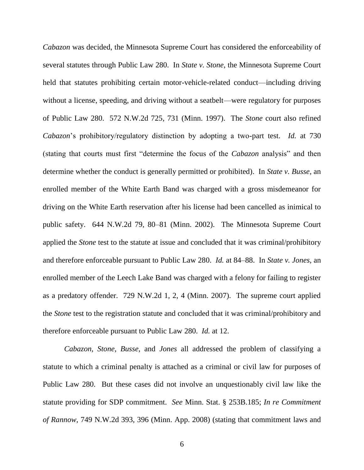*Cabazon* was decided, the Minnesota Supreme Court has considered the enforceability of several statutes through Public Law 280. In *State v. Stone*, the Minnesota Supreme Court held that statutes prohibiting certain motor-vehicle-related conduct—including driving without a license, speeding, and driving without a seatbelt—were regulatory for purposes of Public Law 280. 572 N.W.2d 725, 731 (Minn. 1997). The *Stone* court also refined *Cabazon*'s prohibitory/regulatory distinction by adopting a two-part test. *Id.* at 730 (stating that courts must first "determine the focus of the *Cabazon* analysis" and then determine whether the conduct is generally permitted or prohibited). In *State v. Busse*, an enrolled member of the White Earth Band was charged with a gross misdemeanor for driving on the White Earth reservation after his license had been cancelled as inimical to public safety. 644 N.W.2d 79, 80–81 (Minn. 2002). The Minnesota Supreme Court applied the *Stone* test to the statute at issue and concluded that it was criminal/prohibitory and therefore enforceable pursuant to Public Law 280. *Id.* at 84–88. In *State v. Jones*, an enrolled member of the Leech Lake Band was charged with a felony for failing to register as a predatory offender. 729 N.W.2d 1, 2, 4 (Minn. 2007). The supreme court applied the *Stone* test to the registration statute and concluded that it was criminal/prohibitory and therefore enforceable pursuant to Public Law 280. *Id.* at 12.

*Cabazon*, *Stone*, *Busse*, and *Jones* all addressed the problem of classifying a statute to which a criminal penalty is attached as a criminal or civil law for purposes of Public Law 280. But these cases did not involve an unquestionably civil law like the statute providing for SDP commitment. *See* Minn. Stat. § 253B.185; *In re Commitment of Rannow*, 749 N.W.2d 393, 396 (Minn. App. 2008) (stating that commitment laws and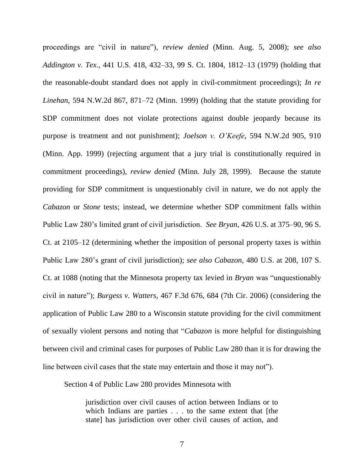proceedings are "civil in nature"), *review denied* (Minn. Aug. 5, 2008); *see also Addington v. Tex.*, 441 U.S. 418, 432–33, 99 S. Ct. 1804, 1812–13 (1979) (holding that the reasonable-doubt standard does not apply in civil-commitment proceedings); *In re Linehan*, 594 N.W.2d 867, 871–72 (Minn. 1999) (holding that the statute providing for SDP commitment does not violate protections against double jeopardy because its purpose is treatment and not punishment); *Joelson v. O'Keefe*, 594 N.W.2d 905, 910 (Minn. App. 1999) (rejecting argument that a jury trial is constitutionally required in commitment proceedings), *review denied* (Minn. July 28, 1999). Because the statute providing for SDP commitment is unquestionably civil in nature, we do not apply the *Cabazon* or *Stone* tests; instead, we determine whether SDP commitment falls within Public Law 280's limited grant of civil jurisdiction. *See Bryan*, 426 U.S. at 375–90, 96 S. Ct. at 2105–12 (determining whether the imposition of personal property taxes is within Public Law 280's grant of civil jurisdiction); *see also Cabazon*, 480 U.S. at 208, 107 S. Ct. at 1088 (noting that the Minnesota property tax levied in *Bryan* was "unquestionably civil in nature‖); *Burgess v. Watters*, 467 F.3d 676, 684 (7th Cir. 2006) (considering the application of Public Law 280 to a Wisconsin statute providing for the civil commitment of sexually violent persons and noting that "*Cabazon* is more helpful for distinguishing between civil and criminal cases for purposes of Public Law 280 than it is for drawing the line between civil cases that the state may entertain and those it may not".

Section 4 of Public Law 280 provides Minnesota with

jurisdiction over civil causes of action between Indians or to which Indians are parties . . . to the same extent that [the state] has jurisdiction over other civil causes of action, and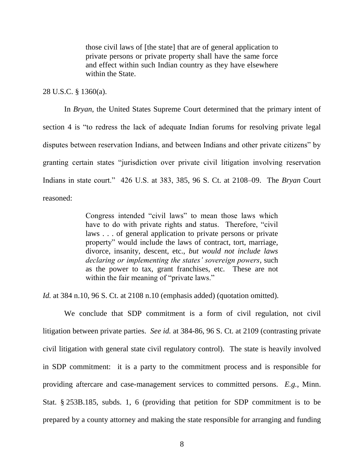those civil laws of [the state] that are of general application to private persons or private property shall have the same force and effect within such Indian country as they have elsewhere within the State.

### 28 U.S.C. § 1360(a).

In *Bryan*, the United States Supreme Court determined that the primary intent of section 4 is "to redress the lack of adequate Indian forums for resolving private legal disputes between reservation Indians, and between Indians and other private citizens" by granting certain states "jurisdiction over private civil litigation involving reservation Indians in state court.‖ 426 U.S. at 383, 385, 96 S. Ct. at 2108–09. The *Bryan* Court reasoned:

> Congress intended "civil laws" to mean those laws which have to do with private rights and status. Therefore, "civil" laws . . . of general application to private persons or private property" would include the laws of contract, tort, marriage, divorce, insanity, descent, etc., *but would not include laws declaring or implementing the states' sovereign powers*, such as the power to tax, grant franchises, etc. These are not within the fair meaning of "private laws."

*Id.* at 384 n.10, 96 S. Ct. at 2108 n.10 (emphasis added) (quotation omitted).

We conclude that SDP commitment is a form of civil regulation, not civil litigation between private parties. *See id.* at 384-86, 96 S. Ct. at 2109 (contrasting private civil litigation with general state civil regulatory control). The state is heavily involved in SDP commitment: it is a party to the commitment process and is responsible for providing aftercare and case-management services to committed persons. *E.g.*, Minn. Stat. § 253B.185, subds. 1, 6 (providing that petition for SDP commitment is to be prepared by a county attorney and making the state responsible for arranging and funding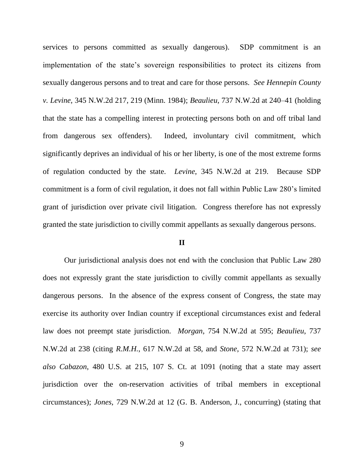services to persons committed as sexually dangerous). SDP commitment is an implementation of the state's sovereign responsibilities to protect its citizens from sexually dangerous persons and to treat and care for those persons. *See Hennepin County v. Levine*, 345 N.W.2d 217, 219 (Minn. 1984); *Beaulieu*, 737 N.W.2d at 240–41 (holding that the state has a compelling interest in protecting persons both on and off tribal land from dangerous sex offenders). Indeed, involuntary civil commitment, which significantly deprives an individual of his or her liberty, is one of the most extreme forms of regulation conducted by the state. *Levine*, 345 N.W.2d at 219. Because SDP commitment is a form of civil regulation, it does not fall within Public Law 280's limited grant of jurisdiction over private civil litigation. Congress therefore has not expressly granted the state jurisdiction to civilly commit appellants as sexually dangerous persons.

### **II**

Our jurisdictional analysis does not end with the conclusion that Public Law 280 does not expressly grant the state jurisdiction to civilly commit appellants as sexually dangerous persons. In the absence of the express consent of Congress, the state may exercise its authority over Indian country if exceptional circumstances exist and federal law does not preempt state jurisdiction. *Morgan*, 754 N.W.2d at 595; *Beaulieu*, 737 N.W.2d at 238 (citing *R.M.H.*, 617 N.W.2d at 58, and *Stone*, 572 N.W.2d at 731); *see also Cabazon*, 480 U.S. at 215, 107 S. Ct. at 1091 (noting that a state may assert jurisdiction over the on-reservation activities of tribal members in exceptional circumstances); *Jones*, 729 N.W.2d at 12 (G. B. Anderson, J., concurring) (stating that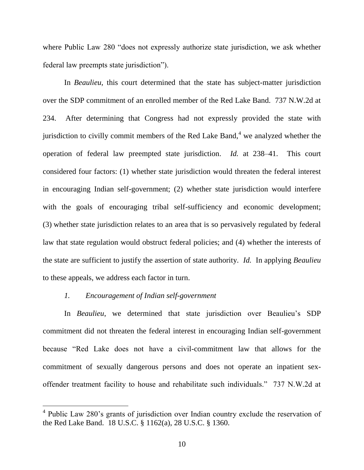where Public Law 280 "does not expressly authorize state jurisdiction, we ask whether federal law preempts state jurisdiction").

In *Beaulieu*, this court determined that the state has subject-matter jurisdiction over the SDP commitment of an enrolled member of the Red Lake Band. 737 N.W.2d at 234. After determining that Congress had not expressly provided the state with jurisdiction to civilly commit members of the Red Lake Band, $4$  we analyzed whether the operation of federal law preempted state jurisdiction. *Id.* at 238–41. This court considered four factors: (1) whether state jurisdiction would threaten the federal interest in encouraging Indian self-government; (2) whether state jurisdiction would interfere with the goals of encouraging tribal self-sufficiency and economic development; (3) whether state jurisdiction relates to an area that is so pervasively regulated by federal law that state regulation would obstruct federal policies; and (4) whether the interests of the state are sufficient to justify the assertion of state authority. *Id.* In applying *Beaulieu*  to these appeals, we address each factor in turn.

## *1. Encouragement of Indian self-government*

 $\overline{a}$ 

In *Beaulieu*, we determined that state jurisdiction over Beaulieu's SDP commitment did not threaten the federal interest in encouraging Indian self-government because "Red Lake does not have a civil-commitment law that allows for the commitment of sexually dangerous persons and does not operate an inpatient sexoffender treatment facility to house and rehabilitate such individuals." 737 N.W.2d at

<sup>&</sup>lt;sup>4</sup> Public Law 280's grants of jurisdiction over Indian country exclude the reservation of the Red Lake Band. 18 U.S.C. § 1162(a), 28 U.S.C. § 1360.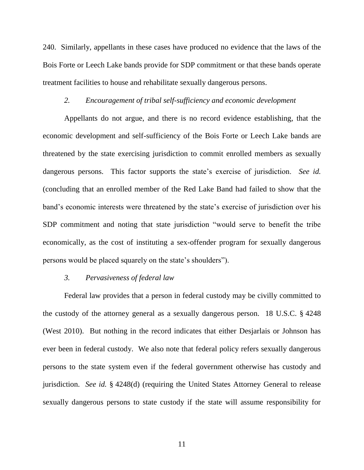240. Similarly, appellants in these cases have produced no evidence that the laws of the Bois Forte or Leech Lake bands provide for SDP commitment or that these bands operate treatment facilities to house and rehabilitate sexually dangerous persons.

#### *2. Encouragement of tribal self-sufficiency and economic development*

Appellants do not argue, and there is no record evidence establishing, that the economic development and self-sufficiency of the Bois Forte or Leech Lake bands are threatened by the state exercising jurisdiction to commit enrolled members as sexually dangerous persons. This factor supports the state's exercise of jurisdiction. *See id.* (concluding that an enrolled member of the Red Lake Band had failed to show that the band's economic interests were threatened by the state's exercise of jurisdiction over his SDP commitment and noting that state jurisdiction "would serve to benefit the tribe economically, as the cost of instituting a sex-offender program for sexually dangerous persons would be placed squarely on the state's shoulders".

### *3. Pervasiveness of federal law*

Federal law provides that a person in federal custody may be civilly committed to the custody of the attorney general as a sexually dangerous person. 18 U.S.C. § 4248 (West 2010). But nothing in the record indicates that either Desjarlais or Johnson has ever been in federal custody. We also note that federal policy refers sexually dangerous persons to the state system even if the federal government otherwise has custody and jurisdiction. *See id.* § 4248(d) (requiring the United States Attorney General to release sexually dangerous persons to state custody if the state will assume responsibility for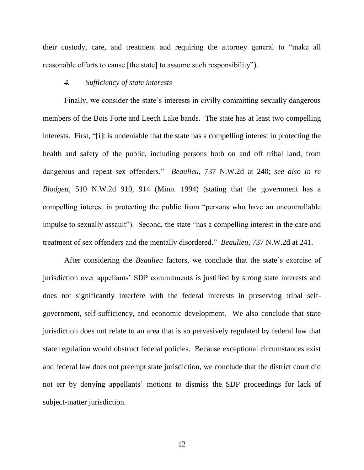their custody, care, and treatment and requiring the attorney general to "make all reasonable efforts to cause [the state] to assume such responsibility").

# *4. Sufficiency of state interests*

Finally, we consider the state's interests in civilly committing sexually dangerous members of the Bois Forte and Leech Lake bands. The state has at least two compelling interests. First, "[i]t is undeniable that the state has a compelling interest in protecting the health and safety of the public, including persons both on and off tribal land, from dangerous and repeat sex offenders.‖ *Beaulieu*, 737 N.W.2d at 240; *see also In re Blodgett*, 510 N.W.2d 910, 914 (Minn. 1994) (stating that the government has a compelling interest in protecting the public from "persons who have an uncontrollable impulse to sexually assault"). Second, the state "has a compelling interest in the care and treatment of sex offenders and the mentally disordered." *Beaulieu*, 737 N.W.2d at 241.

After considering the *Beaulieu* factors, we conclude that the state's exercise of jurisdiction over appellants' SDP commitments is justified by strong state interests and does not significantly interfere with the federal interests in preserving tribal selfgovernment, self-sufficiency, and economic development. We also conclude that state jurisdiction does not relate to an area that is so pervasively regulated by federal law that state regulation would obstruct federal policies. Because exceptional circumstances exist and federal law does not preempt state jurisdiction, we conclude that the district court did not err by denying appellants' motions to dismiss the SDP proceedings for lack of subject-matter jurisdiction.

12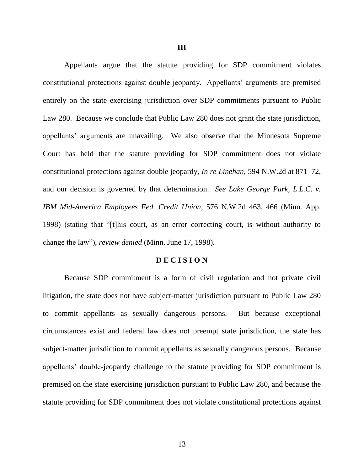Appellants argue that the statute providing for SDP commitment violates constitutional protections against double jeopardy. Appellants' arguments are premised entirely on the state exercising jurisdiction over SDP commitments pursuant to Public Law 280. Because we conclude that Public Law 280 does not grant the state jurisdiction, appellants' arguments are unavailing. We also observe that the Minnesota Supreme Court has held that the statute providing for SDP commitment does not violate constitutional protections against double jeopardy, *In re Linehan*, 594 N.W.2d at 871–72, and our decision is governed by that determination. *See Lake George Park, L.L.C. v. IBM Mid-America Employees Fed. Credit Union*, 576 N.W.2d 463, 466 (Minn. App. 1998) (stating that "[t]his court, as an error correcting court, is without authority to change the law"), *review denied* (Minn. June 17, 1998).

#### **D E C I S I O N**

Because SDP commitment is a form of civil regulation and not private civil litigation, the state does not have subject-matter jurisdiction pursuant to Public Law 280 to commit appellants as sexually dangerous persons. But because exceptional circumstances exist and federal law does not preempt state jurisdiction, the state has subject-matter jurisdiction to commit appellants as sexually dangerous persons. Because appellants' double-jeopardy challenge to the statute providing for SDP commitment is premised on the state exercising jurisdiction pursuant to Public Law 280, and because the statute providing for SDP commitment does not violate constitutional protections against